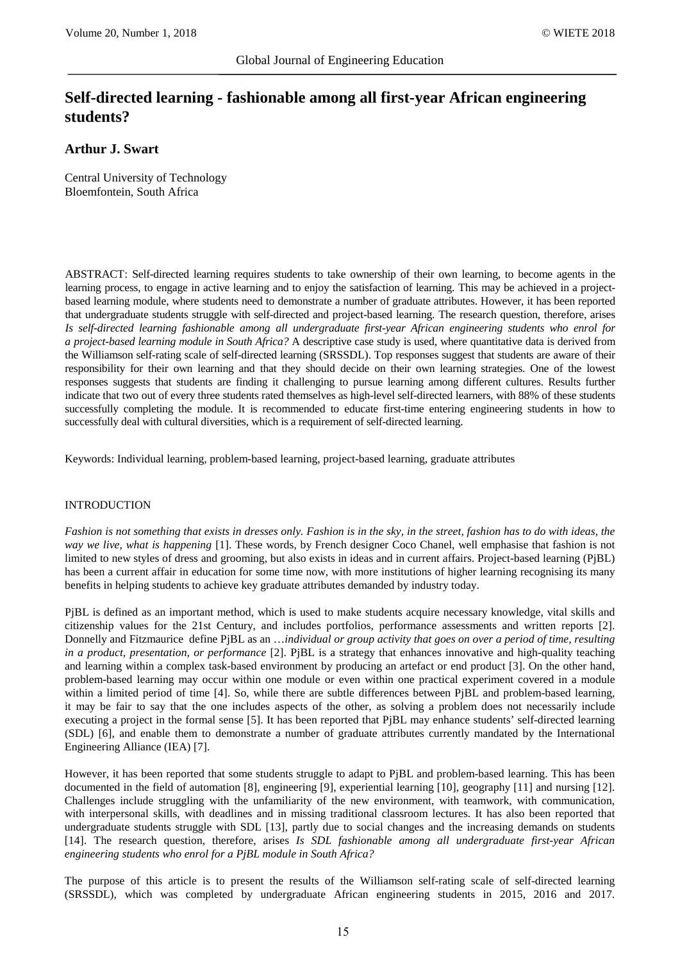# **Self-directed learning - fashionable among all first-year African engineering students?**

## **Arthur J. Swart**

Central University of Technology Bloemfontein, South Africa

ABSTRACT: Self-directed learning requires students to take ownership of their own learning, to become agents in the learning process, to engage in active learning and to enjoy the satisfaction of learning. This may be achieved in a projectbased learning module, where students need to demonstrate a number of graduate attributes. However, it has been reported that undergraduate students struggle with self-directed and project-based learning. The research question, therefore, arises *Is self-directed learning fashionable among all undergraduate first-year African engineering students who enrol for a project-based learning module in South Africa?* A descriptive case study is used, where quantitative data is derived from the Williamson self-rating scale of self-directed learning (SRSSDL). Top responses suggest that students are aware of their responsibility for their own learning and that they should decide on their own learning strategies. One of the lowest responses suggests that students are finding it challenging to pursue learning among different cultures. Results further indicate that two out of every three students rated themselves as high-level self-directed learners, with 88% of these students successfully completing the module. It is recommended to educate first-time entering engineering students in how to successfully deal with cultural diversities, which is a requirement of self-directed learning.

Keywords: Individual learning, problem-based learning, project-based learning, graduate attributes

### INTRODUCTION

*Fashion is not something that exists in dresses only. Fashion is in the sky, in the street, fashion has to do with ideas, the way we live, what is happening* [\[1\]](#page-5-0). These words, by French designer Coco Chanel, well emphasise that fashion is not limited to new styles of dress and grooming, but also exists in ideas and in current affairs. Project-based learning (PjBL) has been a current affair in education for some time now, with more institutions of higher learning recognising its many benefits in helping students to achieve key graduate attributes demanded by industry today.

PjBL is defined as an important method, which is used to make students acquire necessary knowledge, vital skills and citizenship values for the 21st Century, and includes portfolios, performance assessments and written reports [\[2\]](#page-5-1). Donnelly and Fitzmaurice define PjBL as an …*individual or group activity that goes on over a period of time, resulting in a product, presentation, or performance* [\[2\]](#page-5-1). PjBL is a strategy that enhances innovative and high-quality teaching and learning within a complex task-based environment by producing an artefact or end product [\[3\]](#page-5-2). On the other hand, problem-based learning may occur within one module or even within one practical experiment covered in a module within a limited period of time [\[4\]](#page-5-3). So, while there are subtle differences between PjBL and problem-based learning, it may be fair to say that the one includes aspects of the other, as solving a problem does not necessarily include executing a project in the formal sense [\[5\]](#page-5-4). It has been reported that PjBL may enhance students' self-directed learning (SDL) [\[6\]](#page-6-0), and enable them to demonstrate a number of graduate attributes currently mandated by the International Engineering Alliance (IEA) [\[7\]](#page-6-1).

However, it has been reported that some students struggle to adapt to PjBL and problem-based learning. This has been documented in the field of automation [\[8\]](#page-6-2), engineering [\[9\]](#page-6-3), experiential learning [\[10\]](#page-6-4), geography [\[11\]](#page-6-5) and nursing [\[12\]](#page-6-6). Challenges include struggling with the unfamiliarity of the new environment, with teamwork, with communication, with interpersonal skills, with deadlines and in missing traditional classroom lectures. It has also been reported that undergraduate students struggle with SDL [\[13\]](#page-6-7), partly due to social changes and the increasing demands on students [\[14\]](#page-6-8). The research question, therefore, arises *Is SDL fashionable among all undergraduate first-year African engineering students who enrol for a PjBL module in South Africa?*

The purpose of this article is to present the results of the Williamson self-rating scale of self-directed learning (SRSSDL), which was completed by undergraduate African engineering students in 2015, 2016 and 2017.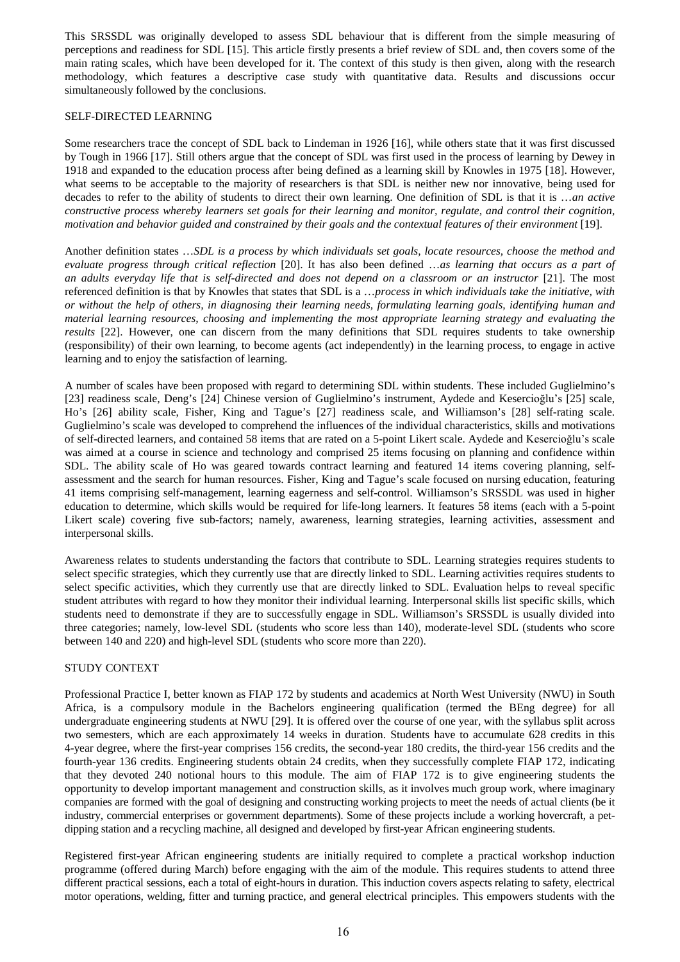This SRSSDL was originally developed to assess SDL behaviour that is different from the simple measuring of perceptions and readiness for SDL [\[15\]](#page-6-9). This article firstly presents a brief review of SDL and, then covers some of the main rating scales, which have been developed for it. The context of this study is then given, along with the research methodology, which features a descriptive case study with quantitative data. Results and discussions occur simultaneously followed by the conclusions.

#### SELF-DIRECTED LEARNING

Some researchers trace the concept of SDL back to Lindeman in 1926 [\[16\]](#page-6-10), while others state that it was first discussed by Tough in 1966 [\[17\]](#page-6-11). Still others argue that the concept of SDL was first used in the process of learning by Dewey in 1918 and expanded to the education process after being defined as a learning skill by Knowles in 1975 [\[18\]](#page-6-12). However, what seems to be acceptable to the majority of researchers is that SDL is neither new nor innovative, being used for decades to refer to the ability of students to direct their own learning. One definition of SDL is that it is …*an active constructive process whereby learners set goals for their learning and monitor, regulate, and control their cognition, motivation and behavior guided and constrained by their goals and the contextual features of their environment* [\[19\]](#page-6-13).

Another definition states …*SDL is a process by which individuals set goals, locate resources, choose the method and evaluate progress through critical reflection* [\[20\]](#page-6-14). It has also been defined …*as learning that occurs as a part of an adults everyday life that is self-directed and does not depend on a classroom or an instructor* [\[21\]](#page-6-15). The most referenced definition is that by Knowles that states that SDL is a …*process in which individuals take the initiative, with or without the help of others, in diagnosing their learning needs, formulating learning goals, identifying human and material learning resources, choosing and implementing the most appropriate learning strategy and evaluating the results* [\[22\]](#page-6-16). However, one can discern from the many definitions that SDL requires students to take ownership (responsibility) of their own learning, to become agents (act independently) in the learning process, to engage in active learning and to enjoy the satisfaction of learning.

A number of scales have been proposed with regard to determining SDL within students. These included Guglielmino's [\[23\]](#page-6-17) readiness scale, Deng's [\[24\]](#page-6-18) Chinese version of Guglielmino's instrument, Aydede and Kesercioğlu's [\[25\]](#page-6-19) scale, Ho's [\[26\]](#page-6-20) ability scale, Fisher, King and Tague's [\[27\]](#page-6-21) readiness scale, and Williamson's [\[28\]](#page-6-22) self-rating scale. Guglielmino's scale was developed to comprehend the influences of the individual characteristics, skills and motivations of self-directed learners, and contained 58 items that are rated on a 5-point Likert scale. Aydede and Kesercioğlu's scale was aimed at a course in science and technology and comprised 25 items focusing on planning and confidence within SDL. The ability scale of Ho was geared towards contract learning and featured 14 items covering planning, selfassessment and the search for human resources. Fisher, King and Tague's scale focused on nursing education, featuring 41 items comprising self-management, learning eagerness and self-control. Williamson's SRSSDL was used in higher education to determine, which skills would be required for life-long learners. It features 58 items (each with a 5-point Likert scale) covering five sub-factors; namely, awareness, learning strategies, learning activities, assessment and interpersonal skills.

Awareness relates to students understanding the factors that contribute to SDL. Learning strategies requires students to select specific strategies, which they currently use that are directly linked to SDL. Learning activities requires students to select specific activities, which they currently use that are directly linked to SDL. Evaluation helps to reveal specific student attributes with regard to how they monitor their individual learning. Interpersonal skills list specific skills, which students need to demonstrate if they are to successfully engage in SDL. Williamson's SRSSDL is usually divided into three categories; namely, low-level SDL (students who score less than 140), moderate-level SDL (students who score between 140 and 220) and high-level SDL (students who score more than 220).

## STUDY CONTEXT

Professional Practice I, better known as FIAP 172 by students and academics at North West University (NWU) in South Africa, is a compulsory module in the Bachelors engineering qualification (termed the BEng degree) for all undergraduate engineering students at NWU [\[29\]](#page-6-23). It is offered over the course of one year, with the syllabus split across two semesters, which are each approximately 14 weeks in duration. Students have to accumulate 628 credits in this 4-year degree, where the first-year comprises 156 credits, the second-year 180 credits, the third-year 156 credits and the fourth-year 136 credits. Engineering students obtain 24 credits, when they successfully complete FIAP 172, indicating that they devoted 240 notional hours to this module. The aim of FIAP 172 is to give engineering students the opportunity to develop important management and construction skills, as it involves much group work, where imaginary companies are formed with the goal of designing and constructing working projects to meet the needs of actual clients (be it industry, commercial enterprises or government departments). Some of these projects include a working hovercraft, a petdipping station and a recycling machine, all designed and developed by first-year African engineering students.

Registered first-year African engineering students are initially required to complete a practical workshop induction programme (offered during March) before engaging with the aim of the module. This requires students to attend three different practical sessions, each a total of eight-hours in duration. This induction covers aspects relating to safety, electrical motor operations, welding, fitter and turning practice, and general electrical principles. This empowers students with the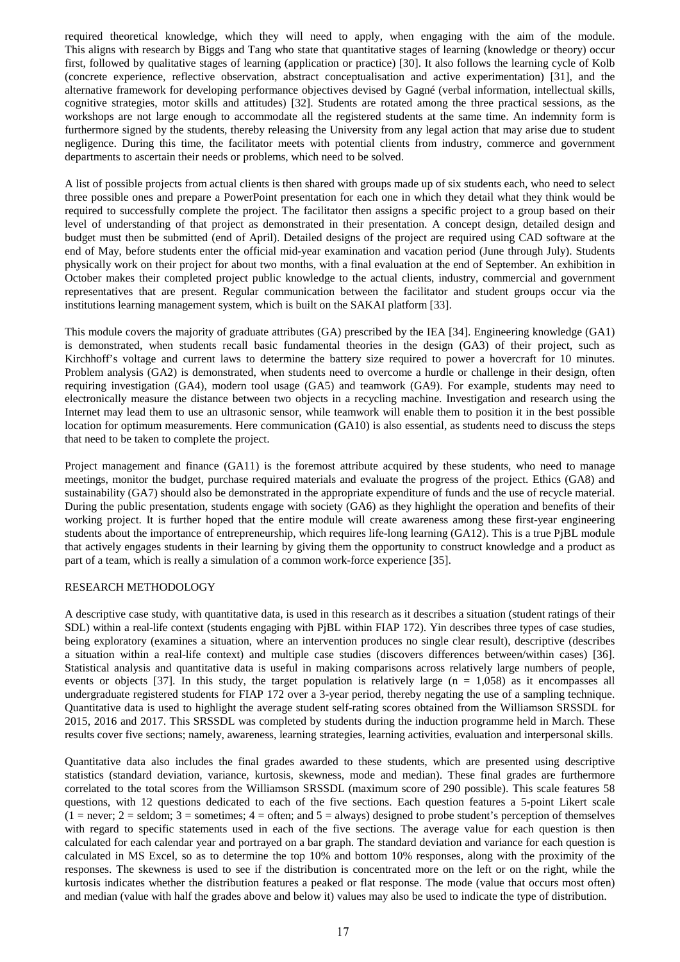required theoretical knowledge, which they will need to apply, when engaging with the aim of the module. This aligns with research by Biggs and Tang who state that quantitative stages of learning (knowledge or theory) occur first, followed by qualitative stages of learning (application or practice) [30]. It also follows the learning cycle of Kolb (concrete experience, reflective observation, abstract conceptualisation and active experimentation) [\[31\]](#page-6-24), and the alternative framework for developing performance objectives devised by Gagné (verbal information, intellectual skills, cognitive strategies, motor skills and attitudes) [\[32\]](#page-6-25). Students are rotated among the three practical sessions, as the workshops are not large enough to accommodate all the registered students at the same time. An indemnity form is furthermore signed by the students, thereby releasing the University from any legal action that may arise due to student negligence. During this time, the facilitator meets with potential clients from industry, commerce and government departments to ascertain their needs or problems, which need to be solved.

A list of possible projects from actual clients is then shared with groups made up of six students each, who need to select three possible ones and prepare a PowerPoint presentation for each one in which they detail what they think would be required to successfully complete the project. The facilitator then assigns a specific project to a group based on their level of understanding of that project as demonstrated in their presentation. A concept design, detailed design and budget must then be submitted (end of April). Detailed designs of the project are required using CAD software at the end of May, before students enter the official mid-year examination and vacation period (June through July). Students physically work on their project for about two months, with a final evaluation at the end of September. An exhibition in October makes their completed project public knowledge to the actual clients, industry, commercial and government representatives that are present. Regular communication between the facilitator and student groups occur via the institutions learning management system, which is built on the SAKAI platform [\[33\]](#page-6-26).

This module covers the majority of graduate attributes (GA) prescribed by the IEA [\[34\]](#page-6-27). Engineering knowledge (GA1) is demonstrated, when students recall basic fundamental theories in the design (GA3) of their project, such as Kirchhoff's voltage and current laws to determine the battery size required to power a hovercraft for 10 minutes. Problem analysis (GA2) is demonstrated, when students need to overcome a hurdle or challenge in their design, often requiring investigation (GA4), modern tool usage (GA5) and teamwork (GA9). For example, students may need to electronically measure the distance between two objects in a recycling machine. Investigation and research using the Internet may lead them to use an ultrasonic sensor, while teamwork will enable them to position it in the best possible location for optimum measurements. Here communication (GA10) is also essential, as students need to discuss the steps that need to be taken to complete the project.

Project management and finance (GA11) is the foremost attribute acquired by these students, who need to manage meetings, monitor the budget, purchase required materials and evaluate the progress of the project. Ethics (GA8) and sustainability (GA7) should also be demonstrated in the appropriate expenditure of funds and the use of recycle material. During the public presentation, students engage with society (GA6) as they highlight the operation and benefits of their working project. It is further hoped that the entire module will create awareness among these first-year engineering students about the importance of entrepreneurship, which requires life-long learning (GA12). This is a true PjBL module that actively engages students in their learning by giving them the opportunity to construct knowledge and a product as part of a team, which is really a simulation of a common work-force experience [\[35\]](#page-6-28).

## RESEARCH METHODOLOGY

A descriptive case study, with quantitative data, is used in this research as it describes a situation (student ratings of their SDL) within a real-life context (students engaging with PjBL within FIAP 172). Yin describes three types of case studies, being exploratory (examines a situation, where an intervention produces no single clear result), descriptive (describes a situation within a real-life context) and multiple case studies (discovers differences between/within cases) [\[36\]](#page-6-29). Statistical analysis and quantitative data is useful in making comparisons across relatively large numbers of people, events or objects [\[37\]](#page-6-30). In this study, the target population is relatively large (n = 1,058) as it encompasses all undergraduate registered students for FIAP 172 over a 3-year period, thereby negating the use of a sampling technique. Quantitative data is used to highlight the average student self-rating scores obtained from the Williamson SRSSDL for 2015, 2016 and 2017. This SRSSDL was completed by students during the induction programme held in March. These results cover five sections; namely, awareness, learning strategies, learning activities, evaluation and interpersonal skills.

Quantitative data also includes the final grades awarded to these students, which are presented using descriptive statistics (standard deviation, variance, kurtosis, skewness, mode and median). These final grades are furthermore correlated to the total scores from the Williamson SRSSDL (maximum score of 290 possible). This scale features 58 questions, with 12 questions dedicated to each of the five sections. Each question features a 5-point Likert scale  $(1 = never; 2 = seldom; 3 = sometimes; 4 = often; and 5 = always) designed to probe student's perception of themselves$ with regard to specific statements used in each of the five sections. The average value for each question is then calculated for each calendar year and portrayed on a bar graph. The standard deviation and variance for each question is calculated in MS Excel, so as to determine the top 10% and bottom 10% responses, along with the proximity of the responses. The skewness is used to see if the distribution is concentrated more on the left or on the right, while the kurtosis indicates whether the distribution features a peaked or flat response. The mode (value that occurs most often) and median (value with half the grades above and below it) values may also be used to indicate the type of distribution.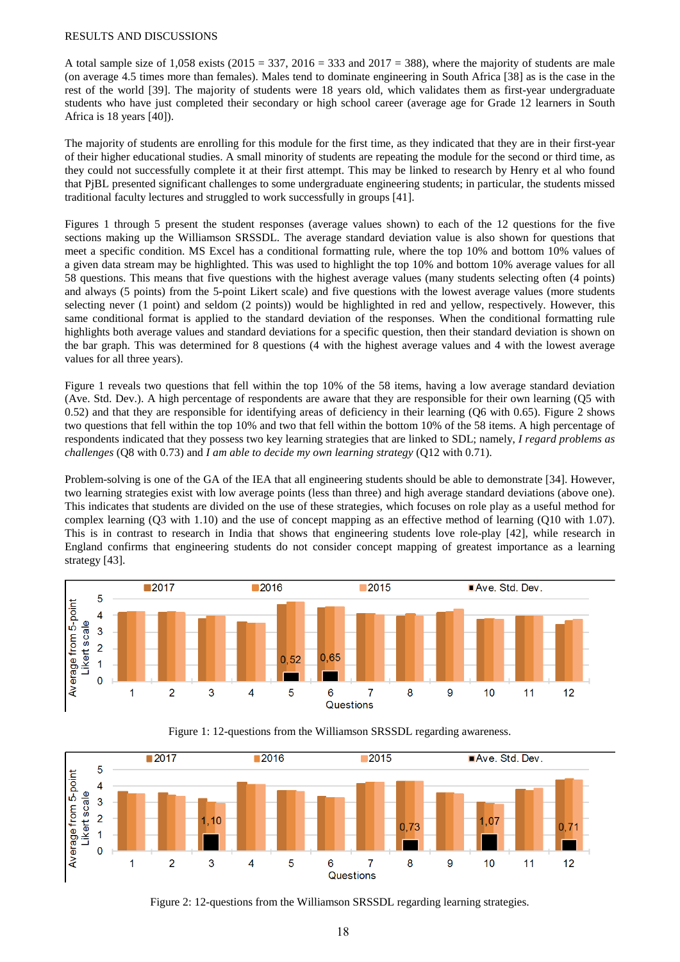#### RESULTS AND DISCUSSIONS

Average from 5-point

Likert scale

 $\overline{1}$  $\overline{0}$ 

 $\overline{1}$ 

 $1.10$ 

3

 $\overline{4}$ 

5

 $\overline{2}$ 

A total sample size of 1,058 exists  $(2015 = 337, 2016 = 333$  and  $2017 = 388$ ), where the majority of students are male (on average 4.5 times more than females). Males tend to dominate engineering in South Africa [\[38\]](#page-7-0) as is the case in the rest of the world [\[39\]](#page-7-1). The majority of students were 18 years old, which validates them as first-year undergraduate students who have just completed their secondary or high school career (average age for Grade 12 learners in South Africa is 18 years [\[40\]](#page-7-2)).

The majority of students are enrolling for this module for the first time, as they indicated that they are in their first-year of their higher educational studies. A small minority of students are repeating the module for the second or third time, as they could not successfully complete it at their first attempt. This may be linked to research by Henry et al who found that PjBL presented significant challenges to some undergraduate engineering students; in particular, the students missed traditional faculty lectures and struggled to work successfully in groups [\[41\]](#page-7-3).

Figures 1 through 5 present the student responses (average values shown) to each of the 12 questions for the five sections making up the Williamson SRSSDL. The average standard deviation value is also shown for questions that meet a specific condition. MS Excel has a conditional formatting rule, where the top 10% and bottom 10% values of a given data stream may be highlighted. This was used to highlight the top 10% and bottom 10% average values for all 58 questions. This means that five questions with the highest average values (many students selecting often (4 points) and always (5 points) from the 5-point Likert scale) and five questions with the lowest average values (more students selecting never (1 point) and seldom (2 points)) would be highlighted in red and yellow, respectively. However, this same conditional format is applied to the standard deviation of the responses. When the conditional formatting rule highlights both average values and standard deviations for a specific question, then their standard deviation is shown on the bar graph. This was determined for 8 questions (4 with the highest average values and 4 with the lowest average values for all three years).

Figure 1 reveals two questions that fell within the top 10% of the 58 items, having a low average standard deviation (Ave. Std. Dev.). A high percentage of respondents are aware that they are responsible for their own learning (Q5 with 0.52) and that they are responsible for identifying areas of deficiency in their learning (Q6 with 0.65). Figure 2 shows two questions that fell within the top 10% and two that fell within the bottom 10% of the 58 items. A high percentage of respondents indicated that they possess two key learning strategies that are linked to SDL; namely, *I regard problems as challenges* (Q8 with 0.73) and *I am able to decide my own learning strategy* (Q12 with 0.71).

Problem-solving is one of the GA of the IEA that all engineering students should be able to demonstrate [\[34\]](#page-6-27). However, two learning strategies exist with low average points (less than three) and high average standard deviations (above one). This indicates that students are divided on the use of these strategies, which focuses on role play as a useful method for complex learning (Q3 with 1.10) and the use of concept mapping as an effective method of learning (Q10 with 1.07). This is in contrast to research in India that shows that engineering students love role-play [\[42\]](#page-7-4), while research in England confirms that engineering students do not consider concept mapping of greatest importance as a learning strategy [\[43\]](#page-7-5).





Figure 1: 12-questions from the Williamson SRSSDL regarding awareness.

 $1.07$ 

 $10$ 

 $11$ 

 $0,71$ 

 $12$ 

 $0,73$ 

8

9

Figure 2: 12-questions from the Williamson SRSSDL regarding learning strategies.

Questions

6

 $\overline{7}$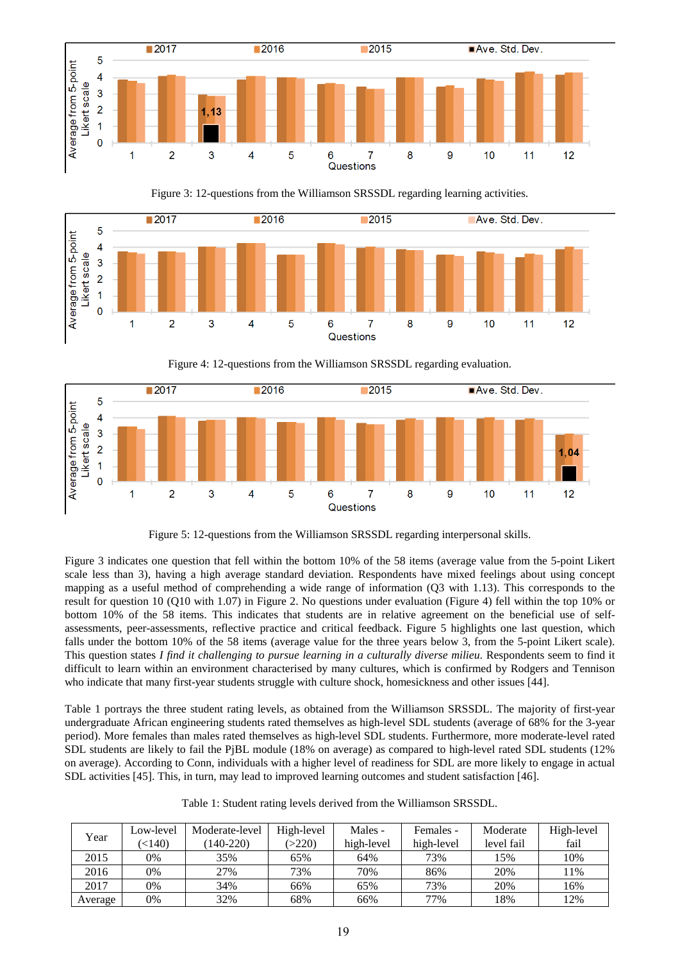



Figure 4: 12-questions from the Williamson SRSSDL regarding evaluation.

Figure 3: 12-questions from the Williamson SRSSDL regarding learning activities.

■2017 ■2016  $2015$ Ave. Std. Dev. 5 Average from 5-point  $\overline{4}$ Likert scale  $\overline{3}$  $\overline{a}$  $1,04$  $\overline{1}$  $\overline{0}$  $\overline{2}$  $\overline{7}$  $\overline{1}$ 3 4  $\overline{5}$  $\overline{6}$  $\bf{8}$ 9  $10$  $11$  $12$ Questions

Figure 5: 12-questions from the Williamson SRSSDL regarding interpersonal skills.

Figure 3 indicates one question that fell within the bottom 10% of the 58 items (average value from the 5-point Likert scale less than 3), having a high average standard deviation. Respondents have mixed feelings about using concept mapping as a useful method of comprehending a wide range of information (Q3 with 1.13). This corresponds to the result for question 10 (Q10 with 1.07) in Figure 2. No questions under evaluation (Figure 4) fell within the top 10% or bottom 10% of the 58 items. This indicates that students are in relative agreement on the beneficial use of selfassessments, peer-assessments, reflective practice and critical feedback. Figure 5 highlights one last question, which falls under the bottom 10% of the 58 items (average value for the three years below 3, from the 5-point Likert scale). This question states *I find it challenging to pursue learning in a culturally diverse milieu*. Respondents seem to find it difficult to learn within an environment characterised by many cultures, which is confirmed by Rodgers and Tennison who indicate that many first-year students struggle with culture shock, homesickness and other issues [\[44\]](#page-7-6).

Table 1 portrays the three student rating levels, as obtained from the Williamson SRSSDL. The majority of first-year undergraduate African engineering students rated themselves as high-level SDL students (average of 68% for the 3-year period). More females than males rated themselves as high-level SDL students. Furthermore, more moderate-level rated SDL students are likely to fail the PjBL module (18% on average) as compared to high-level rated SDL students (12% on average). According to Conn, individuals with a higher level of readiness for SDL are more likely to engage in actual SDL activities [\[45\]](#page-7-7). This, in turn, may lead to improved learning outcomes and student satisfaction [\[46\]](#page-7-8).

| Table 1: Student rating levels derived from the Williamson SRSSDL. |  |  |  |
|--------------------------------------------------------------------|--|--|--|
|--------------------------------------------------------------------|--|--|--|

| Vear    | Low-level<br>$\leq$ 140) | Moderate-level<br>$(140-220)$ | High-level<br>(>220) | Males -<br>high-level | Females -<br>high-level | Moderate<br>level fail | High-level<br>fail |
|---------|--------------------------|-------------------------------|----------------------|-----------------------|-------------------------|------------------------|--------------------|
| 2015    | 0%                       | 35%                           | 65%                  | 64%                   | 73%                     | 15%                    | 10%                |
| 2016    | 0%                       | 27%                           | 73%                  | 70%                   | 86%                     | 20%                    | 11%                |
| 2017    | 0%                       | 34%                           | 66%                  | 65%                   | 73%                     | 20%                    | 16%                |
| Average | 0%                       | 32%                           | 68%                  | 66%                   | 77%                     | 18%                    | 12%                |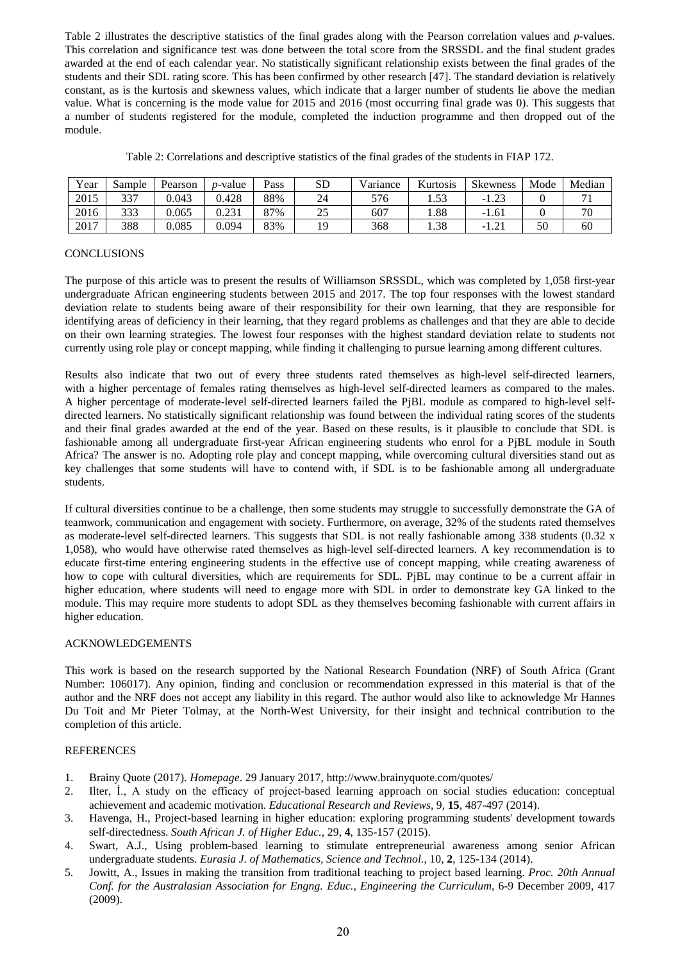Table 2 illustrates the descriptive statistics of the final grades along with the Pearson correlation values and *p*-values. This correlation and significance test was done between the total score from the SRSSDL and the final student grades awarded at the end of each calendar year. No statistically significant relationship exists between the final grades of the students and their SDL rating score. This has been confirmed by other research [47]. The standard deviation is relatively constant, as is the kurtosis and skewness values, which indicate that a larger number of students lie above the median value. What is concerning is the mode value for 2015 and 2016 (most occurring final grade was 0). This suggests that a number of students registered for the module, completed the induction programme and then dropped out of the module.

| Year | Sample | Pearson | <i>p</i> -value | Pass | $_{\rm SD}$ | Variance | Kurtosis             | <b>Skewness</b> | Mode | Median |
|------|--------|---------|-----------------|------|-------------|----------|----------------------|-----------------|------|--------|
| 2015 | 337    | 0.043   | 0.428           | 88%  | 24          | 576      | $\epsilon$<br>ر ر. د | $\cap$<br>-1.23 |      |        |
| 2016 | 333    | 0.065   | 0.231           | 87%  | سە          | 607      | 1.88                 | $-1.61$         |      | 70     |
| 2017 | 388    | 0.085   | 0.094           | 83%  |             | 368      | 1.38                 | $-1.4.$         | 50   | 60     |

Table 2: Correlations and descriptive statistics of the final grades of the students in FIAP 172.

#### CONCLUSIONS

The purpose of this article was to present the results of Williamson SRSSDL, which was completed by 1,058 first-year undergraduate African engineering students between 2015 and 2017. The top four responses with the lowest standard deviation relate to students being aware of their responsibility for their own learning, that they are responsible for identifying areas of deficiency in their learning, that they regard problems as challenges and that they are able to decide on their own learning strategies. The lowest four responses with the highest standard deviation relate to students not currently using role play or concept mapping, while finding it challenging to pursue learning among different cultures.

Results also indicate that two out of every three students rated themselves as high-level self-directed learners, with a higher percentage of females rating themselves as high-level self-directed learners as compared to the males. A higher percentage of moderate-level self-directed learners failed the PjBL module as compared to high-level selfdirected learners. No statistically significant relationship was found between the individual rating scores of the students and their final grades awarded at the end of the year. Based on these results, is it plausible to conclude that SDL is fashionable among all undergraduate first-year African engineering students who enrol for a PjBL module in South Africa? The answer is no. Adopting role play and concept mapping, while overcoming cultural diversities stand out as key challenges that some students will have to contend with, if SDL is to be fashionable among all undergraduate students.

If cultural diversities continue to be a challenge, then some students may struggle to successfully demonstrate the GA of teamwork, communication and engagement with society. Furthermore, on average, 32% of the students rated themselves as moderate-level self-directed learners. This suggests that SDL is not really fashionable among 338 students (0.32 x 1,058), who would have otherwise rated themselves as high-level self-directed learners. A key recommendation is to educate first-time entering engineering students in the effective use of concept mapping, while creating awareness of how to cope with cultural diversities, which are requirements for SDL. PjBL may continue to be a current affair in higher education, where students will need to engage more with SDL in order to demonstrate key GA linked to the module. This may require more students to adopt SDL as they themselves becoming fashionable with current affairs in higher education.

## ACKNOWLEDGEMENTS

This work is based on the research supported by the National Research Foundation (NRF) of South Africa (Grant Number: 106017). Any opinion, finding and conclusion or recommendation expressed in this material is that of the author and the NRF does not accept any liability in this regard. The author would also like to acknowledge Mr Hannes Du Toit and Mr Pieter Tolmay, at the North-West University, for their insight and technical contribution to the completion of this article.

## REFERENCES

- <span id="page-5-0"></span>1. Brainy Quote (2017). *Homepage*. 29 January 2017, http://www.brainyquote.com/quotes/
- <span id="page-5-1"></span>2. Ilter, İ., A study on the efficacy of project-based learning approach on social studies education: conceptual achievement and academic motivation. *Educational Research and Reviews,* 9, **15**, 487-497 (2014).
- <span id="page-5-2"></span>3. Havenga, H., Project-based learning in higher education: exploring programming students' development towards self-directedness. *South African J. of Higher Educ.,* 29, **4**, 135-157 (2015).
- <span id="page-5-3"></span>4. Swart, A.J., Using problem-based learning to stimulate entrepreneurial awareness among senior African undergraduate students. *Eurasia J. of Mathematics, Science and Technol.,* 10, **2**, 125-134 (2014).
- <span id="page-5-4"></span>5. Jowitt, A., Issues in making the transition from traditional teaching to project based learning. *Proc. 20th Annual Conf. for the Australasian Association for Engng. Educ., Engineering the Curriculum*, 6-9 December 2009, 417 (2009).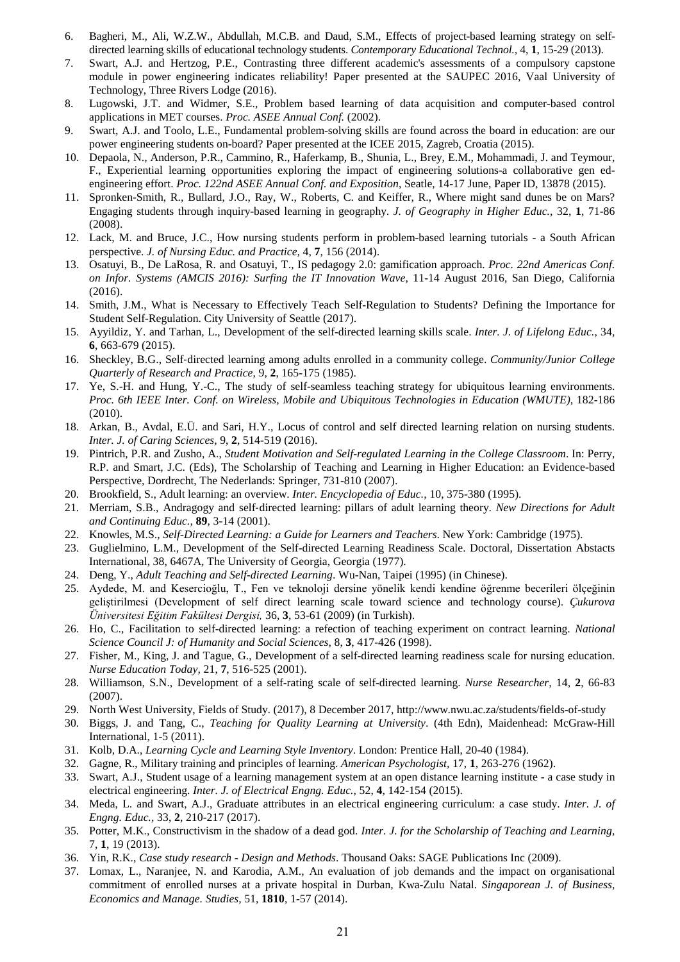- <span id="page-6-0"></span>6. Bagheri, M.*,* Ali, W.Z.W., Abdullah, M.C.B. and Daud, S.M., Effects of project-based learning strategy on selfdirected learning skills of educational technology students. *Contemporary Educational Technol.,* 4, **1**, 15-29 (2013).
- <span id="page-6-1"></span>7. Swart, A.J. and Hertzog, P.E., Contrasting three different academic's assessments of a compulsory capstone module in power engineering indicates reliability! Paper presented at the SAUPEC 2016, Vaal University of Technology, Three Rivers Lodge (2016).
- <span id="page-6-2"></span>8. Lugowski, J.T. and Widmer, S.E., Problem based learning of data acquisition and computer-based control applications in MET courses. *Proc. ASEE Annual Conf.* (2002).
- <span id="page-6-3"></span>9. Swart, A.J. and Toolo, L.E., Fundamental problem-solving skills are found across the board in education: are our power engineering students on-board? Paper presented at the ICEE 2015, Zagreb, Croatia (2015).
- <span id="page-6-4"></span>10. Depaola, N.*,* Anderson, P.R., Cammino, R., Haferkamp, B., Shunia, L., Brey, E.M., Mohammadi, J. and Teymour, F., Experiential learning opportunities exploring the impact of engineering solutions-a collaborative gen edengineering effort. *Proc. 122nd ASEE Annual Conf. and Exposition*, Seatle, 14-17 June, Paper ID, 13878 (2015).
- <span id="page-6-5"></span>11. Spronken-Smith, R.*,* Bullard, J.O., Ray, W., Roberts, C. and Keiffer, R., Where might sand dunes be on Mars? Engaging students through inquiry-based learning in geography. *J. of Geography in Higher Educ.,* 32, **1**, 71-86 (2008).
- <span id="page-6-6"></span>12. Lack, M. and Bruce, J.C., How nursing students perform in problem-based learning tutorials - a South African perspective. *J. of Nursing Educ. and Practice,* 4, **7**, 156 (2014).
- <span id="page-6-7"></span>13. Osatuyi, B., De LaRosa, R. and Osatuyi, T., IS pedagogy 2.0: gamification approach. *Proc. 22nd Americas Conf. on Infor. Systems (AMCIS 2016): Surfing the IT Innovation Wave*, 11-14 August 2016, San Diego, California (2016).
- <span id="page-6-8"></span>14. Smith, J.M., What is Necessary to Effectively Teach Self-Regulation to Students? Defining the Importance for Student Self-Regulation. City University of Seattle (2017).
- <span id="page-6-9"></span>15. Ayyildiz, Y. and Tarhan, L., Development of the self-directed learning skills scale. *Inter. J. of Lifelong Educ.*, 34, **6**, 663-679 (2015).
- <span id="page-6-10"></span>16. Sheckley, B.G., Self‐directed learning among adults enrolled in a community college. *Community/Junior College Quarterly of Research and Practice,* 9, **2**, 165-175 (1985).
- <span id="page-6-11"></span>17. Ye, S.-H. and Hung, Y.-C., The study of self-seamless teaching strategy for ubiquitous learning environments. *Proc. 6th IEEE Inter. Conf. on Wireless, Mobile and Ubiquitous Technologies in Education (WMUTE),* 182-186 (2010).
- <span id="page-6-12"></span>18. Arkan, B.*,* Avdal, E.Ü. and Sari, H.Y., Locus of control and self directed learning relation on nursing students. *Inter. J. of Caring Sciences,* 9, **2**, 514-519 (2016).
- <span id="page-6-13"></span>19. Pintrich, P.R. and Zusho, A., *Student Motivation and Self-regulated Learning in the College Classroom*. In: Perry, R.P. and Smart, J.C. (Eds), The Scholarship of Teaching and Learning in Higher Education: an Evidence-based Perspective, Dordrecht, The Nederlands: Springer, 731-810 (2007).
- <span id="page-6-14"></span>20. Brookfield, S., Adult learning: an overview. *Inter. Encyclopedia of Educ.,* 10, 375-380 (1995).
- <span id="page-6-15"></span>21. Merriam, S.B., Andragogy and self‐directed learning: pillars of adult learning theory. *New Directions for Adult and Continuing Educ.,* **89**, 3-14 (2001).
- <span id="page-6-16"></span>22. Knowles, M.S., *Self-Directed Learning: a Guide for Learners and Teachers*. New York: Cambridge (1975).
- <span id="page-6-17"></span>23. Guglielmino, L.M., Development of the Self-directed Learning Readiness Scale. Doctoral, Dissertation Abstacts International, 38, 6467A, The University of Georgia, Georgia (1977).
- <span id="page-6-18"></span>24. Deng, Y., *Adult Teaching and Self-directed Learning*. Wu-Nan, Taipei (1995) (in Chinese).
- <span id="page-6-19"></span>25. Aydede, M. and Kesercioğlu, T., Fen ve teknoloji dersine yönelik kendi kendine öğrenme becerileri ölçeğinin geliştirilmesi (Development of self direct learning scale toward science and technology course). *Çukurova Üniversitesi Eğitim Fakültesi Dergisi,* 36, **3**, 53-61 (2009) (in Turkish).
- <span id="page-6-20"></span>26. Ho, C., Facilitation to self-directed learning: a refection of teaching experiment on contract learning. *National Science Council J: of Humanity and Social Sciences,* 8, **3**, 417-426 (1998).
- <span id="page-6-21"></span>27. Fisher, M.*,* King, J. and Tague, G., Development of a self-directed learning readiness scale for nursing education. *Nurse Education Today,* 21, **7**, 516-525 (2001).
- <span id="page-6-22"></span>28. Williamson, S.N., Development of a self-rating scale of self-directed learning. *Nurse Researcher,* 14, **2**, 66-83 (2007).
- <span id="page-6-23"></span>29. North West University, Fields of Study. (2017), 8 December 2017, http://www.nwu.ac.za/students/fields-of-study
- 30. Biggs, J. and Tang, C., *Teaching for Quality Learning at University*. (4th Edn), Maidenhead: McGraw-Hill International, 1-5 (2011).
- <span id="page-6-24"></span>31. Kolb, D.A., *Learning Cycle and Learning Style Inventory*. London: Prentice Hall, 20-40 (1984).
- <span id="page-6-25"></span>32. Gagne, R., Military training and principles of learning. *American Psychologist,* 17, **1**, 263-276 (1962).
- <span id="page-6-26"></span>33. Swart, A.J., Student usage of a learning management system at an open distance learning institute - a case study in electrical engineering. *Inter. J. of Electrical Engng. Educ.,* 52, **4**, 142-154 (2015).
- <span id="page-6-27"></span>34. Meda, L. and Swart, A.J., Graduate attributes in an electrical engineering curriculum: a case study. *Inter. J. of Engng. Educ.,* 33, **2**, 210-217 (2017).
- <span id="page-6-28"></span>35. Potter, M.K., Constructivism in the shadow of a dead god. *Inter. J. for the Scholarship of Teaching and Learning,* 7, **1**, 19 (2013).
- <span id="page-6-29"></span>36. Yin, R.K., *Case study research - Design and Methods*. Thousand Oaks: SAGE Publications Inc (2009).
- <span id="page-6-30"></span>37. Lomax, L.*,* Naranjee, N. and Karodia, A.M., An evaluation of job demands and the impact on organisational commitment of enrolled nurses at a private hospital in Durban, Kwa-Zulu Natal. *Singaporean J. of Business, Economics and Manage. Studies,* 51, **1810**, 1-57 (2014).